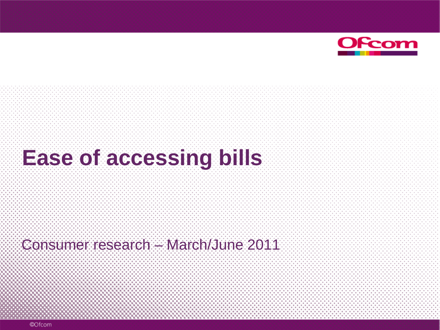

# **Ease of accessing bills**

Consumer research – March/June 2011

©Ofcom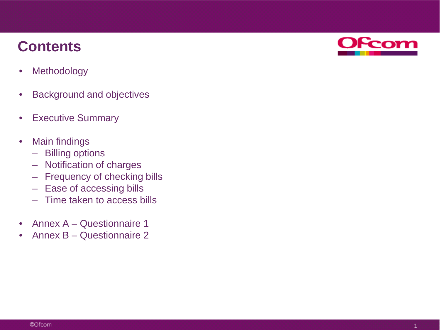### **Contents**

- Methodology
- Background and objectives
- Executive Summary
- Main findings
	- Billing options
	- Notification of charges
	- Frequency of checking bills
	- Ease of accessing bills
	- Time taken to access bills
- Annex A Questionnaire 1
- Annex B Questionnaire 2

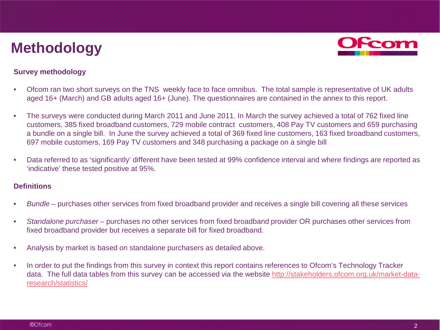### **Methodology**



#### **Survey methodology**

- Ofcom ran two short surveys on the TNS weekly face to face omnibus. The total sample is representative of UK adults aged 16+ (March) and GB adults aged 16+ (June). The questionnaires are contained in the annex to this report.
- The surveys were conducted during March 2011 and June 2011. In March the survey achieved a total of 762 fixed line customers, 385 fixed broadband customers, 729 mobile contract customers, 408 Pay TV customers and 659 purchasing a bundle on a single bill. In June the survey achieved a total of 369 fixed line customers, 163 fixed broadband customers, 697 mobile customers, 169 Pay TV customers and 348 purchasing a package on a single bill
- Data referred to as 'significantly' different have been tested at 99% confidence interval and where findings are reported as 'indicative' these tested positive at 95%.

#### **Definitions**

- *Bundle*  purchases other services from fixed broadband provider and receives a single bill covering all these services
- *Standalone purchaser*  purchases no other services from fixed broadband provider OR purchases other services from fixed broadband provider but receives a separate bill for fixed broadband.
- Analysis by market is based on standalone purchasers as detailed above.
- In order to put the findings from this survey in context this report contains references to Ofcom's Technology Tracker data. The full data tables from this survey can be accessed via the website [http://stakeholders.ofcom.org.uk/market-data](http://stakeholders.ofcom.org.uk/market-data-research/statistics/)[research/statistics/](http://stakeholders.ofcom.org.uk/market-data-research/statistics/)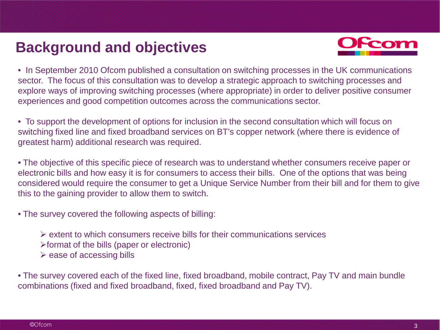### **Background and objectives**



• In September 2010 Ofcom published a consultation on switching processes in the UK communications sector. The focus of this consultation was to develop a strategic approach to switching processes and explore ways of improving switching processes (where appropriate) in order to deliver positive consumer experiences and good competition outcomes across the communications sector.

• To support the development of options for inclusion in the second consultation which will focus on switching fixed line and fixed broadband services on BT's copper network (where there is evidence of greatest harm) additional research was required.

• The objective of this specific piece of research was to understand whether consumers receive paper or electronic bills and how easy it is for consumers to access their bills. One of the options that was being considered would require the consumer to get a Unique Service Number from their bill and for them to give this to the gaining provider to allow them to switch.

• The survey covered the following aspects of billing:

 $\triangleright$  extent to which consumers receive bills for their communications services

 $\triangleright$  format of the bills (paper or electronic)

 $\triangleright$  ease of accessing bills

• The survey covered each of the fixed line, fixed broadband, mobile contract, Pay TV and main bundle combinations (fixed and fixed broadband, fixed, fixed broadband and Pay TV).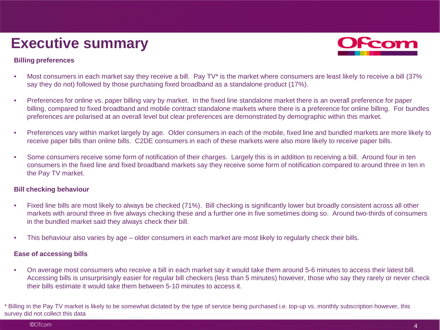### **Executive summary**

#### **Billing preferences**

- Most consumers in each market say they receive a bill. Pay TV<sup>\*</sup> is the market where consumers are least likely to receive a bill (37% say they do not) followed by those purchasing fixed broadband as a standalone product (17%).
- Preferences for online vs. paper billing vary by market. In the fixed line standalone market there is an overall preference for paper billing, compared to fixed broadband and mobile contract standalone markets where there is a preference for online billing. For bundles preferences are polarised at an overall level but clear preferences are demonstrated by demographic within this market.
- Preferences vary within market largely by age. Older consumers in each of the mobile, fixed line and bundled markets are more likely to receive paper bills than online bills. C2DE consumers in each of these markets were also more likely to receive paper bills.
- Some consumers receive some form of notification of their charges. Largely this is in addition to receiving a bill. Around four in ten consumers in the fixed line and fixed broadband markets say they receive some form of notification compared to around three in ten in the Pay TV market.

#### **Bill checking behaviour**

- Fixed line bills are most likely to always be checked (71%). Bill checking is significantly lower but broadly consistent across all other markets with around three in five always checking these and a further one in five sometimes doing so. Around two-thirds of consumers in the bundled market said they always check their bill.
- This behaviour also varies by age older consumers in each market are most likely to regularly check their bills.

#### **Ease of accessing bills**

• On average most consumers who receive a bill in each market say it would take them around 5-6 minutes to access their latest bill. Accessing bills is unsurprisingly easier for regular bill checkers (less than 5 minutes) however, those who say they rarely or never check their bills estimate it would take them between 5-10 minutes to access it.

\* Billing in the Pay TV market is likely to be somewhat dictated by the type of service being purchased i.e. top-up vs. monthly subscription however, this survey did not collect this data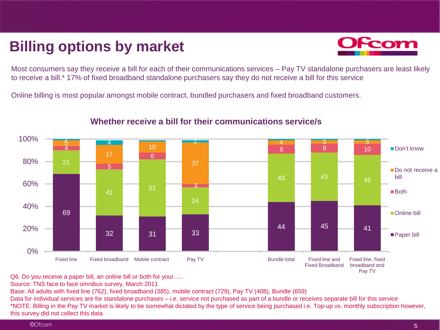### **Billing options by market**



Most consumers say they receive a bill for each of their communications services – Pay TV standalone purchasers are least likely to receive a bill.\* 17% of fixed broadband standalone purchasers say they do not receive a bill for this service

Online billing is most popular amongst mobile contract, bundled purchasers and fixed broadband customers.



#### **Whether receive a bill for their communications service/s**

Q6. Do you receive a paper bill, an online bill or both for your…..

Source: TNS face to face omnibus survey, March 2011

Base: All adults with fixed line (762), fixed broadband (385), mobile contract (729), Pay TV (408), Bundle (659)

Data for individual services are for standalone purchases – i.e. service not purchased as part of a bundle or receives separate bill for this service \*NOTE: Billing in the Pay TV market is likely to be somewhat dictated by the type of service being purchased i.e. Top-up vs. monthly subscription however, this survey did not collect this data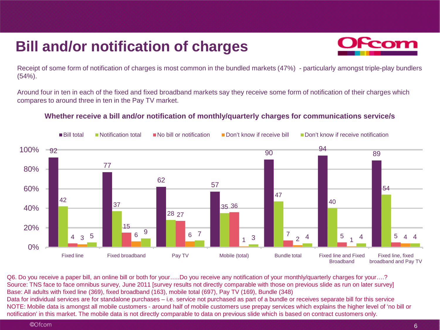### **Bill and/or notification of charges**



Receipt of some form of notification of charges is most common in the bundled markets (47%) - particularly amongst triple-play bundlers (54%).

Around four in ten in each of the fixed and fixed broadband markets say they receive some form of notification of their charges which compares to around three in ten in the Pay TV market.

#### **Whether receive a bill and/or notification of monthly/quarterly charges for communications service/s**



Q6. Do you receive a paper bill, an online bill or both for your…..Do you receive any notification of your monthly/quarterly charges for your….? Source: TNS face to face omnibus survey, June 2011 [survey results not directly comparable with those on previous slide as run on later survey] Base: All adults with fixed line (369), fixed broadband (163), mobile total (697), Pay TV (169), Bundle (348) Data for individual services are for standalone purchases – i.e. service not purchased as part of a bundle or receives separate bill for this service NOTE: Mobile data is amongst all mobile customers - around half of mobile customers use prepay services which explains the higher level of 'no bill or notification' in this market. The mobile data is not directly comparable to data on previous slide which is based on contract customers only.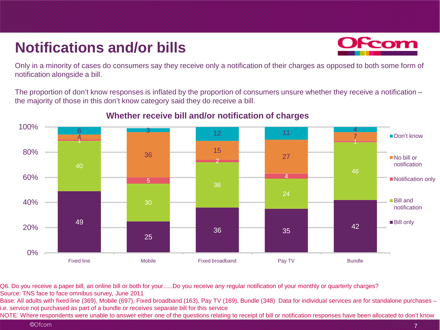### **Notifications and/or bills**



Only in a minority of cases do consumers say they receive only a notification of their charges as opposed to both some form of notification alongside a bill.

The proportion of don't know responses is inflated by the proportion of consumers unsure whether they receive a notification – the majority of those in this don't know category said they do receive a bill.



### **Whether receive bill and/or notification of charges**

Q6. Do you receive a paper bill, an online bill or both for your…..Do you receive any regular notification of your monthly or quarterly charges? Source: TNS face to face omnibus survey, June 2011

Base: All adults with fixed line (369), Mobile (697), Fixed broadband (163), Pay TV (169), Bundle (348) Data for individual services are for standalone purchases – i.e. service not purchased as part of a bundle or receives separate bill for this service

NOTE: Where respondents were unable to answer either one of the questions relating to receipt of bill or notification responses have been allocated to don't know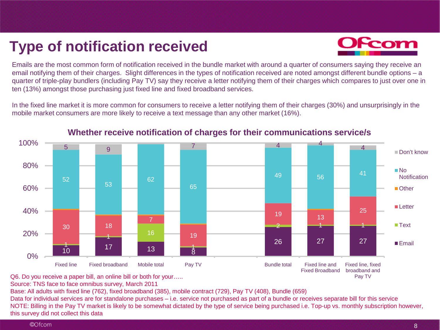### **Type of notification received**



Emails are the most common form of notification received in the bundle market with around a quarter of consumers saying they receive an email notifying them of their charges. Slight differences in the types of notification received are noted amongst different bundle options – a quarter of triple-play bundlers (including Pay TV) say they receive a letter notifying them of their charges which compares to just over one in ten (13%) amongst those purchasing just fixed line and fixed broadband services.

In the fixed line market it is more common for consumers to receive a letter notifying them of their charges (30%) and unsurprisingly in the mobile market consumers are more likely to receive a text message than any other market (16%).



#### **Whether receive notification of charges for their communications service/s**

Q6. Do you receive a paper bill, an online bill or both for your…..

Source: TNS face to face omnibus survey, March 2011

Base: All adults with fixed line (762), fixed broadband (385), mobile contract (729), Pay TV (408), Bundle (659)

Data for individual services are for standalone purchases – i.e. service not purchased as part of a bundle or receives separate bill for this service NOTE: Billing in the Pay TV market is likely to be somewhat dictated by the type of service being purchased i.e. Top-up vs. monthly subscription however, this survey did not collect this data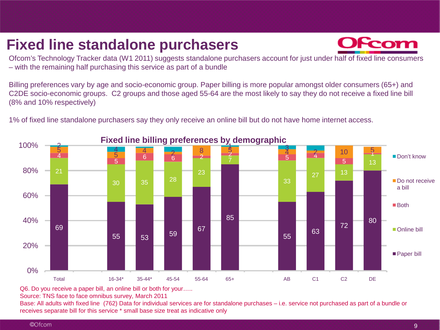### **Fixed line standalone purchasers**



Ofcom's Technology Tracker data (W1 2011) suggests standalone purchasers account for just under half of fixed line consumers – with the remaining half purchasing this service as part of a bundle

Billing preferences vary by age and socio-economic group. Paper billing is more popular amongst older consumers (65+) and C2DE socio-economic groups. C2 groups and those aged 55-64 are the most likely to say they do not receive a fixed line bill (8% and 10% respectively)

1% of fixed line standalone purchasers say they only receive an online bill but do not have home internet access.



#### **Fixed line billing preferences by demographic**

Q6. Do you receive a paper bill, an online bill or both for your…..

Source: TNS face to face omnibus survey, March 2011

Base: All adults with fixed line (762) Data for individual services are for standalone purchases – i.e. service not purchased as part of a bundle or receives separate bill for this service \* small base size treat as indicative only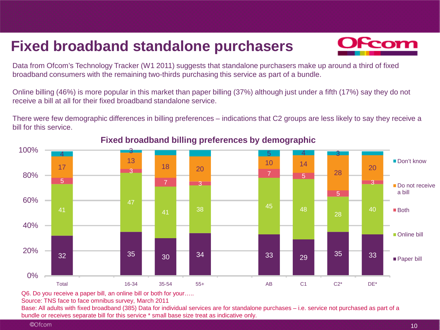### **Fixed broadband standalone purchasers**



Data from Ofcom's Technology Tracker (W1 2011) suggests that standalone purchasers make up around a third of fixed broadband consumers with the remaining two-thirds purchasing this service as part of a bundle.

Online billing (46%) is more popular in this market than paper billing (37%) although just under a fifth (17%) say they do not receive a bill at all for their fixed broadband standalone service.

There were few demographic differences in billing preferences – indications that C2 groups are less likely to say they receive a bill for this service.



#### **Fixed broadband billing preferences by demographic**

Q6. Do you receive a paper bill, an online bill or both for your…..

Source: TNS face to face omnibus survey, March 2011

Base: All adults with fixed broadband (385) Data for individual services are for standalone purchases – i.e. service not purchased as part of a bundle or receives separate bill for this service \* small base size treat as indicative only.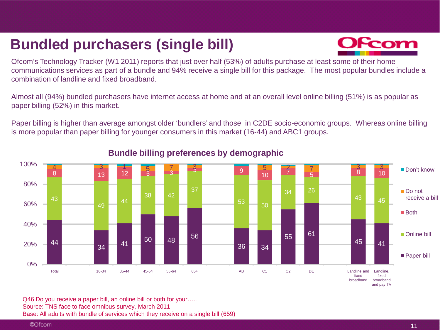### **Bundled purchasers (single bill)**



Ofcom's Technology Tracker (W1 2011) reports that just over half (53%) of adults purchase at least some of their home communications services as part of a bundle and 94% receive a single bill for this package. The most popular bundles include a combination of landline and fixed broadband.

Almost all (94%) bundled purchasers have internet access at home and at an overall level online billing (51%) is as popular as paper billing (52%) in this market.

Paper billing is higher than average amongst older 'bundlers' and those in C2DE socio-economic groups. Whereas online billing is more popular than paper billing for younger consumers in this market (16-44) and ABC1 groups.



#### **Bundle billing preferences by demographic**

Q46 Do you receive a paper bill, an online bill or both for your..... Source: TNS face to face omnibus survey, March 2011 Base: All adults with bundle of services which they receive on a single bill (659)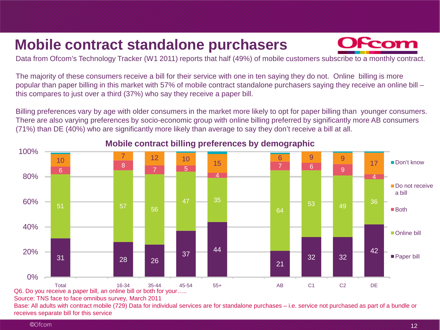### **Mobile contract standalone purchasers**



Data from Ofcom's Technology Tracker (W1 2011) reports that half (49%) of mobile customers subscribe to a monthly contract.

The majority of these consumers receive a bill for their service with one in ten saying they do not. Online billing is more popular than paper billing in this market with 57% of mobile contract standalone purchasers saying they receive an online bill – this compares to just over a third (37%) who say they receive a paper bill.

Billing preferences vary by age with older consumers in the market more likely to opt for paper billing than younger consumers. There are also varying preferences by socio-economic group with online billing preferred by significantly more AB consumers (71%) than DE (40%) who are significantly more likely than average to say they don't receive a bill at all.



**Mobile contract billing preferences by demographic**

Q6. Do you receive a paper bill, an online bill or both for your…..

Source: TNS face to face omnibus survey, March 2011

Base: All adults with contract mobile (729) Data for individual services are for standalone purchases – i.e. service not purchased as part of a bundle or receives separate bill for this service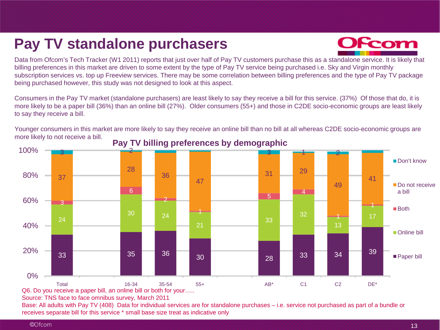### **Pay TV standalone purchasers**



Data from Ofcom's Tech Tracker (W1 2011) reports that just over half of Pay TV customers purchase this as a standalone service. It is likely that billing preferences in this market are driven to some extent by the type of Pay TV service being purchased i.e. Sky and Virgin monthly subscription services vs. top up Freeview services. There may be some correlation between billing preferences and the type of Pay TV package being purchased however, this study was not designed to look at this aspect.

Consumers in the Pay TV market (standalone purchasers) are least likely to say they receive a bill for this service. (37%) Of those that do, it is more likely to be a paper bill (36%) than an online bill (27%). Older consumers (55+) and those in C2DE socio-economic groups are least likely to say they receive a bill.

Younger consumers in this market are more likely to say they receive an online bill than no bill at all whereas C2DE socio-economic groups are more likely to not receive a bill. **Pay TV billing preferences by demographic**



Source: TNS face to face omnibus survey, March 2011

Base: All adults with Pay TV (408) Data for individual services are for standalone purchases – i.e. service not purchased as part of a bundle or receives separate bill for this service \* small base size treat as indicative only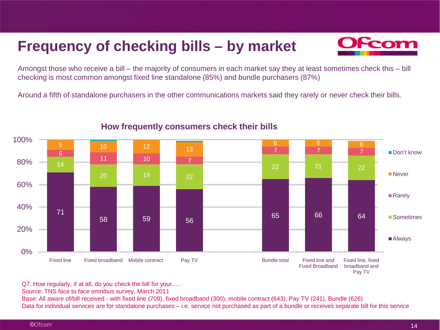### **Frequency of checking bills – by market**



Amongst those who receive a bill – the majority of consumers in each market say they at least sometimes check this – bill checking is most common amongst fixed line standalone (85%) and bundle purchasers (87%)

Around a fifth of standalone purchasers in the other communications markets said they rarely or never check their bills.



#### **How frequently consumers check their bills**

Q7. How regularly, if at all, do you check the bill for your…..

Source: TNS face to face omnibus survey, March 2011

Base: All aware of/bill received - with fixed line (709), fixed broadband (300), mobile contract (643), Pay TV (241), Bundle (626) Data for individual services are for standalone purchases – i.e. service not purchased as part of a bundle or receives separate bill for this service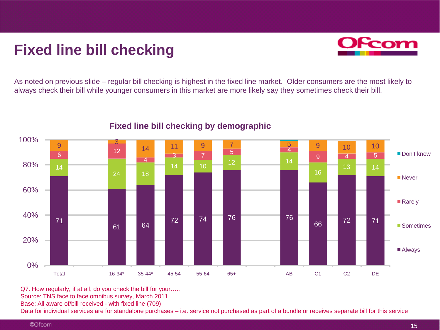### **Fixed line bill checking**



As noted on previous slide – regular bill checking is highest in the fixed line market. Older consumers are the most likely to always check their bill while younger consumers in this market are more likely say they sometimes check their bill.



#### **Fixed line bill checking by demographic**

Q7. How regularly, if at all, do you check the bill for your…..

Source: TNS face to face omnibus survey, March 2011

Base: All aware of/bill received - with fixed line (709)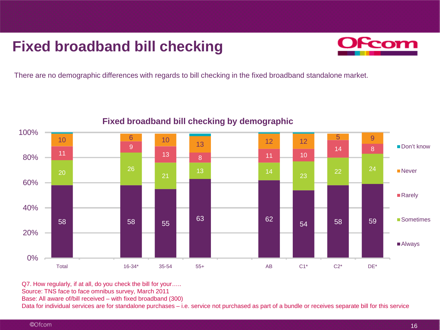### **Fixed broadband bill checking**



There are no demographic differences with regards to bill checking in the fixed broadband standalone market.



#### **Fixed broadband bill checking by demographic**

Q7. How regularly, if at all, do you check the bill for your…..

Source: TNS face to face omnibus survey, March 2011

Base: All aware of/bill received – with fixed broadband (300)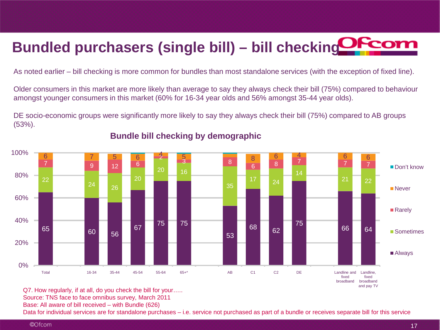## **Bundled purchasers (single bill) – bill checking**

As noted earlier – bill checking is more common for bundles than most standalone services (with the exception of fixed line).

Older consumers in this market are more likely than average to say they always check their bill (75%) compared to behaviour amongst younger consumers in this market (60% for 16-34 year olds and 56% amongst 35-44 year olds).

DE socio-economic groups were significantly more likely to say they always check their bill (75%) compared to AB groups (53%).



#### **Bundle bill checking by demographic**

Q7. How regularly, if at all, do you check the bill for your…..

Source: TNS face to face omnibus survey, March 2011

Base: All aware of bill received – with Bundle (626)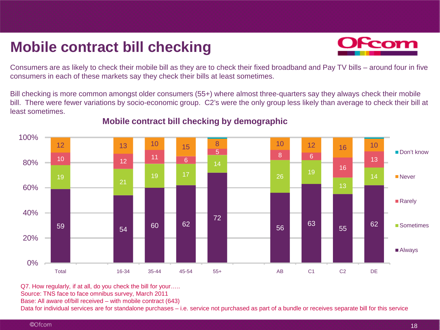### **Mobile contract bill checking**



Consumers are as likely to check their mobile bill as they are to check their fixed broadband and Pay TV bills – around four in five consumers in each of these markets say they check their bills at least sometimes.

Bill checking is more common amongst older consumers (55+) where almost three-quarters say they always check their mobile bill. There were fewer variations by socio-economic group. C2's were the only group less likely than average to check their bill at least sometimes.



#### **Mobile contract bill checking by demographic**

Q7. How regularly, if at all, do you check the bill for your…..

Source: TNS face to face omnibus survey, March 2011

Base: All aware of/bill received – with mobile contract (643)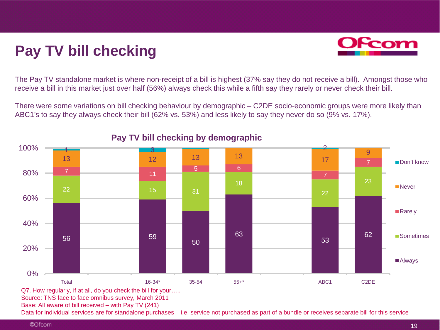### **Pay TV bill checking**



The Pay TV standalone market is where non-receipt of a bill is highest (37% say they do not receive a bill). Amongst those who receive a bill in this market just over half (56%) always check this while a fifth say they rarely or never check their bill.

There were some variations on bill checking behaviour by demographic – C2DE socio-economic groups were more likely than ABC1's to say they always check their bill (62% vs. 53%) and less likely to say they never do so (9% vs. 17%).



#### **Pay TV bill checking by demographic**

Q7. How regularly, if at all, do you check the bill for your…..

Source: TNS face to face omnibus survey, March 2011

Base: All aware of bill received – with Pay TV (241)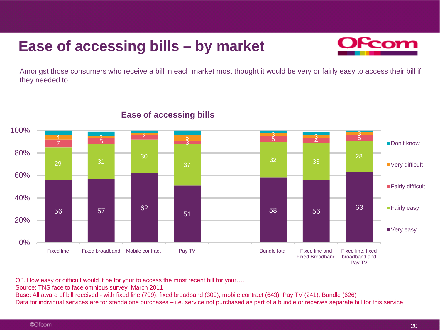### **Ease of accessing bills – by market**



Amongst those consumers who receive a bill in each market most thought it would be very or fairly easy to access their bill if they needed to.



#### **Ease of accessing bills**

Q8. How easy or difficult would it be for your to access the most recent bill for your….

Source: TNS face to face omnibus survey, March 2011

Base: All aware of bill received - with fixed line (709), fixed broadband (300), mobile contract (643), Pay TV (241), Bundle (626) Data for individual services are for standalone purchases – i.e. service not purchased as part of a bundle or receives separate bill for this service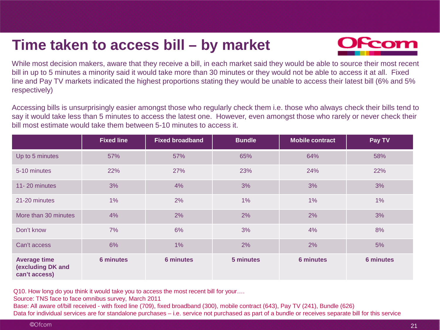### **Time taken to access bill – by market**



While most decision makers, aware that they receive a bill, in each market said they would be able to source their most recent bill in up to 5 minutes a minority said it would take more than 30 minutes or they would not be able to access it at all. Fixed line and Pay TV markets indicated the highest proportions stating they would be unable to access their latest bill (6% and 5% respectively)

Accessing bills is unsurprisingly easier amongst those who regularly check them i.e. those who always check their bills tend to say it would take less than 5 minutes to access the latest one. However, even amongst those who rarely or never check their bill most estimate would take them between 5-10 minutes to access it.

|                                                           | <b>Fixed line</b> | <b>Fixed broadband</b> | <b>Bundle</b> | <b>Mobile contract</b> | Pay TV           |
|-----------------------------------------------------------|-------------------|------------------------|---------------|------------------------|------------------|
| Up to 5 minutes                                           | 57%               | 57%                    | 65%           | 64%                    | 58%              |
| 5-10 minutes                                              | 22%               | 27%                    | 23%           | 24%                    | 22%              |
| 11-20 minutes                                             | 3%                | 4%                     | 3%            | 3%                     | 3%               |
| 21-20 minutes                                             | 1%                | 2%                     | 1%            | 1%                     | 1%               |
| More than 30 minutes                                      | 4%                | 2%                     | 2%            | 2%                     | 3%               |
| Don't know                                                | 7%                | 6%                     | 3%            | 4%                     | 8%               |
| Can't access                                              | 6%                | 1%                     | 2%            | 2%                     | 5%               |
| <b>Average time</b><br>(excluding DK and<br>can't access) | <b>6 minutes</b>  | <b>6 minutes</b>       | 5 minutes     | <b>6 minutes</b>       | <b>6 minutes</b> |

Q10. How long do you think it would take you to access the most recent bill for your….

Source: TNS face to face omnibus survey, March 2011

Base: All aware of/bill received - with fixed line (709), fixed broadband (300), mobile contract (643), Pay TV (241), Bundle (626)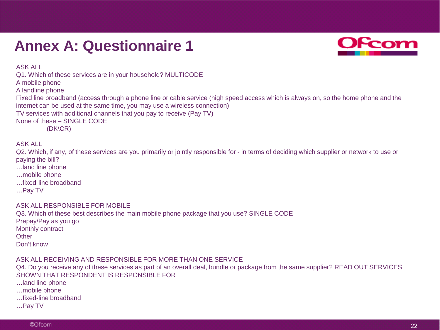### **Annex A: Questionnaire 1**



ASK ALL

Q1. Which of these services are in your household? MULTICODE

A mobile phone

A landline phone

Fixed line broadband (access through a phone line or cable service (high speed access which is always on, so the home phone and the internet can be used at the same time, you may use a wireless connection)

TV services with additional channels that you pay to receive (Pay TV)

None of these – SINGLE CODE

(DK\CR)

#### ASK ALL

Q2. Which, if any, of these services are you primarily or jointly responsible for - in terms of deciding which supplier or network to use or paying the bill?

- …land line phone
- …mobile phone
- …fixed-line broadband
- …Pay TV

#### ASK ALL RESPONSIBLE FOR MOBILE

Q3. Which of these best describes the main mobile phone package that you use? SINGLE CODE Prepay/Pay as you go Monthly contract **Other** Don't know

#### ASK ALL RECEIVING AND RESPONSIBLE FOR MORE THAN ONE SERVICE

Q4. Do you receive any of these services as part of an overall deal, bundle or package from the same supplier? READ OUT SERVICES SHOWN THAT RESPONDENT IS RESPONSIBLE FOR

- …land line phone
- …mobile phone
- …fixed-line broadband
- …Pay TV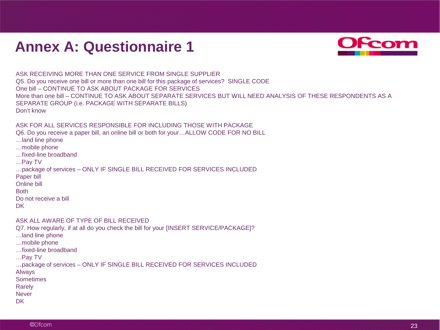### **Annex A: Questionnaire 1**



ASK RECEIVING MORE THAN ONE SERVICE FROM SINGLE SUPPLIER Q5. Do you receive one bill or more than one bill for this package of services? SINGLE CODE One bill – CONTINUE TO ASK ABOUT PACKAGE FOR SERVICES More than one bill – CONTINUE TO ASK ABOUT SEPARATE SERVICES BUT WILL NEED ANALYSIS OF THESE RESPONDENTS AS A SEPARATE GROUP (i.e. PACKAGE WITH SEPARATE BILLS) Don't know

#### ASK FOR ALL SERVICES RESPONSIBLE FOR INCLUDING THOSE WITH PACKAGE

Q6. Do you receive a paper bill, an online bill or both for your…ALLOW CODE FOR NO BILL

- …land line phone
- …mobile phone
- …fixed-line broadband
- …Pay TV

…package of services – ONLY IF SINGLE BILL RECEIVED FOR SERVICES INCLUDED Paper bill

Online bill

Both

- Do not receive a bill
- DK.

ASK ALL AWARE OF TYPE OF BILL RECEIVED

Q7. How regularly, if at all do you check the bill for your [INSERT SERVICE/PACKAGE]?

- …land line phone
- …mobile phone
- …fixed-line broadband
- …Pay TV

…package of services – ONLY IF SINGLE BILL RECEIVED FOR SERVICES INCLUDED

- Always
- **Sometimes**
- Rarely
- **Never**
- **DK**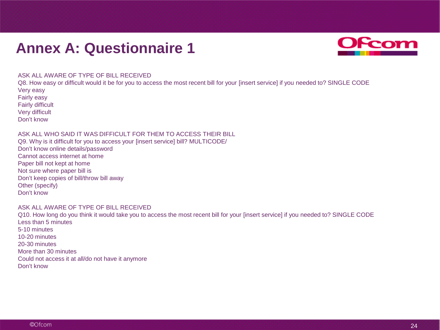### **Annex A: Questionnaire 1**



#### ASK ALL AWARE OF TYPE OF BILL RECEIVED

Q8. How easy or difficult would it be for you to access the most recent bill for your [insert service] if you needed to? SINGLE CODE Very easy Fairly easy Fairly difficult

Very difficult

Don't know

#### ASK ALL WHO SAID IT WAS DIFFICULT FOR THEM TO ACCESS THEIR BILL

Q9. Why is it difficult for you to access your [insert service] bill? MULTICODE/ Don't know online details/password Cannot access internet at home Paper bill not kept at home Not sure where paper bill is Don't keep copies of bill/throw bill away Other (specify) Don't know

#### ASK ALL AWARE OF TYPE OF BILL RECEIVED

Q10. How long do you think it would take you to access the most recent bill for your [insert service] if you needed to? SINGLE CODE Less than 5 minutes 5-10 minutes 10-20 minutes 20-30 minutes More than 30 minutes Could not access it at all/do not have it anymore Don't know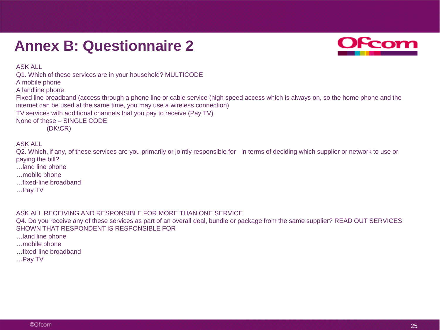### **Annex B: Questionnaire 2**



ASK ALL

Q1. Which of these services are in your household? MULTICODE

A mobile phone

A landline phone

Fixed line broadband (access through a phone line or cable service (high speed access which is always on, so the home phone and the internet can be used at the same time, you may use a wireless connection)

TV services with additional channels that you pay to receive (Pay TV)

None of these – SINGLE CODE

(DK\CR)

ASK ALL

Q2. Which, if any, of these services are you primarily or jointly responsible for - in terms of deciding which supplier or network to use or paying the bill?

- …land line phone
- …mobile phone
- …fixed-line broadband
- …Pay TV

#### ASK ALL RECEIVING AND RESPONSIBLE FOR MORE THAN ONE SERVICE

Q4. Do you receive any of these services as part of an overall deal, bundle or package from the same supplier? READ OUT SERVICES SHOWN THAT RESPONDENT IS RESPONSIBLE FOR

…land line phone

- …mobile phone
- …fixed-line broadband
- …Pay TV